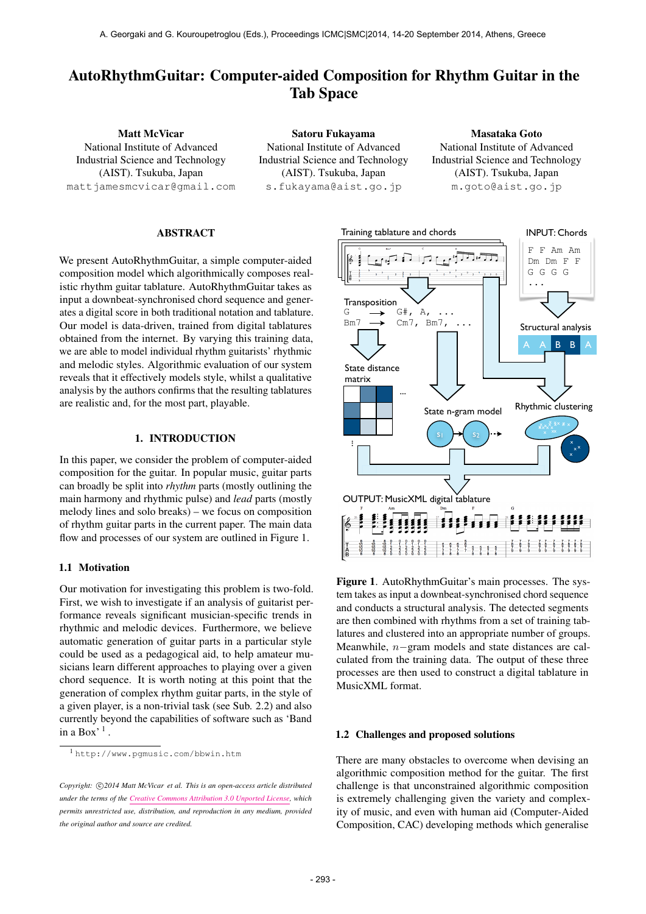# AutoRhythmGuitar: Computer-aided Composition for Rhythm Guitar in the Tab Space

Matt McVicar National Institute of Advanced Industrial Science and Technology (AIST). Tsukuba, Japan [mattjamesmcvicar@gmail.com](mailto:mattjamesmcvicar@gmail.com)

Satoru Fukayama National Institute of Advanced Industrial Science and Technology (AIST). Tsukuba, Japan [s.fukayama@aist.go.jp](mailto:s.fukayama@aist.go.jp)

Masataka Goto National Institute of Advanced Industrial Science and Technology (AIST). Tsukuba, Japan [m.goto@aist.go.jp](mailto:m.goto@aist.go.jp)

# ABSTRACT

We present AutoRhythmGuitar, a simple computer-aided composition model which algorithmically composes realistic rhythm guitar tablature. AutoRhythmGuitar takes as input a downbeat-synchronised chord sequence and generates a digital score in both traditional notation and tablature. Our model is data-driven, trained from digital tablatures obtained from the internet. By varying this training data, we are able to model individual rhythm guitarists' rhythmic and melodic styles. Algorithmic evaluation of our system reveals that it effectively models style, whilst a qualitative analysis by the authors confirms that the resulting tablatures are realistic and, for the most part, playable.

# 1. INTRODUCTION

In this paper, we consider the problem of computer-aided composition for the guitar. In popular music, guitar parts can broadly be split into *rhythm* parts (mostly outlining the main harmony and rhythmic pulse) and *lead* parts (mostly melody lines and solo breaks) – we focus on composition of rhythm guitar parts in the current paper. The main data flow and processes of our system are outlined in Figure 1.

# 1.1 Motivation

Our motivation for investigating this problem is two-fold. First, we wish to investigate if an analysis of guitarist performance reveals significant musician-specific trends in rhythmic and melodic devices. Furthermore, we believe automatic generation of guitar parts in a particular style could be used as a pedagogical aid, to help amateur musicians learn different approaches to playing over a given chord sequence. It is worth noting at this point that the generation of complex rhythm guitar parts, in the style of a given player, is a non-trivial task (see Sub. 2.2) and also currently beyond the capabilities of software such as 'Band in a  $Box'$ <sup>1</sup>.



Figure 1. AutoRhythmGuitar's main processes. The system takes as input a downbeat-synchronised chord sequence and conducts a structural analysis. The detected segments are then combined with rhythms from a set of training tablatures and clustered into an appropriate number of groups. Meanwhile, n−gram models and state distances are calculated from the training data. The output of these three processes are then used to construct a digital tablature in MusicXML format.

# 1.2 Challenges and proposed solutions

There are many obstacles to overcome when devising an algorithmic composition method for the guitar. The first challenge is that unconstrained algorithmic composition is extremely challenging given the variety and complexity of music, and even with human aid (Computer-Aided Composition, CAC) developing methods which generalise

<sup>1</sup> <http://www.pgmusic.com/bbwin.htm>

Copyright:  $\bigcirc$ 2014 Matt McVicar et al. This is an open-access article distributed *under the terms of the [Creative Commons Attribution 3.0 Unported License,](http://creativecommons.org/licenses/by/3.0/) which permits unrestricted use, distribution, and reproduction in any medium, provided the original author and source are credited.*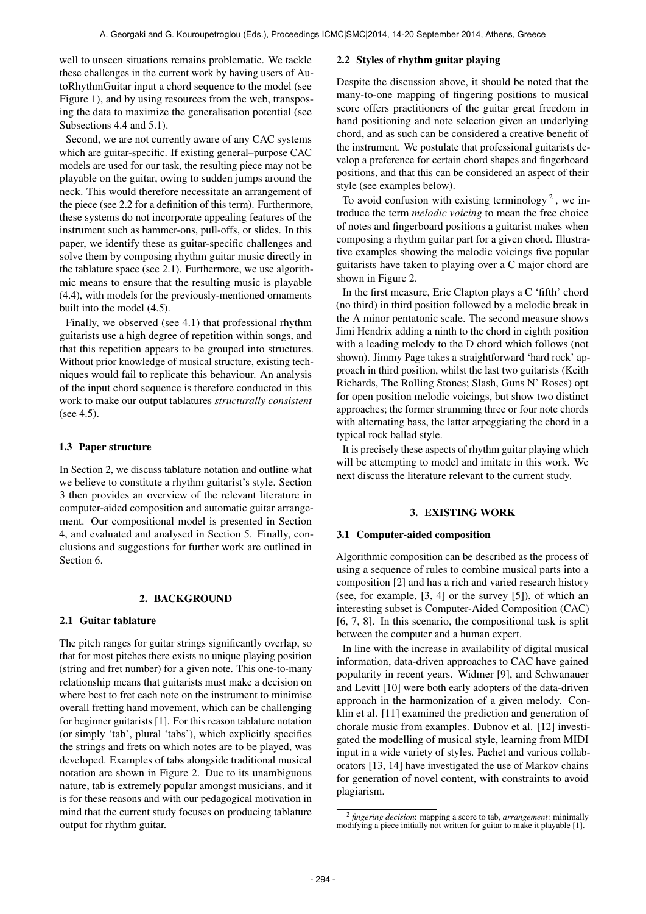well to unseen situations remains problematic. We tackle these challenges in the current work by having users of AutoRhythmGuitar input a chord sequence to the model (see Figure 1), and by using resources from the web, transposing the data to maximize the generalisation potential (see Subsections 4.4 and 5.1).

Second, we are not currently aware of any CAC systems which are guitar-specific. If existing general–purpose CAC models are used for our task, the resulting piece may not be playable on the guitar, owing to sudden jumps around the neck. This would therefore necessitate an arrangement of the piece (see 2.2 for a definition of this term). Furthermore, these systems do not incorporate appealing features of the instrument such as hammer-ons, pull-offs, or slides. In this paper, we identify these as guitar-specific challenges and solve them by composing rhythm guitar music directly in the tablature space (see 2.1). Furthermore, we use algorithmic means to ensure that the resulting music is playable (4.4), with models for the previously-mentioned ornaments built into the model (4.5).

Finally, we observed (see 4.1) that professional rhythm guitarists use a high degree of repetition within songs, and that this repetition appears to be grouped into structures. Without prior knowledge of musical structure, existing techniques would fail to replicate this behaviour. An analysis of the input chord sequence is therefore conducted in this work to make our output tablatures *structurally consistent* (see 4.5).

### 1.3 Paper structure

In Section 2, we discuss tablature notation and outline what we believe to constitute a rhythm guitarist's style. Section 3 then provides an overview of the relevant literature in computer-aided composition and automatic guitar arrangement. Our compositional model is presented in Section 4, and evaluated and analysed in Section 5. Finally, conclusions and suggestions for further work are outlined in Section 6.

# 2. BACKGROUND

### 2.1 Guitar tablature

The pitch ranges for guitar strings significantly overlap, so that for most pitches there exists no unique playing position (string and fret number) for a given note. This one-to-many relationship means that guitarists must make a decision on where best to fret each note on the instrument to minimise overall fretting hand movement, which can be challenging for beginner guitarists [1]. For this reason tablature notation (or simply 'tab', plural 'tabs'), which explicitly specifies the strings and frets on which notes are to be played, was developed. Examples of tabs alongside traditional musical notation are shown in Figure 2. Due to its unambiguous nature, tab is extremely popular amongst musicians, and it is for these reasons and with our pedagogical motivation in mind that the current study focuses on producing tablature output for rhythm guitar.

### 2.2 Styles of rhythm guitar playing

Despite the discussion above, it should be noted that the many-to-one mapping of fingering positions to musical score offers practitioners of the guitar great freedom in hand positioning and note selection given an underlying chord, and as such can be considered a creative benefit of the instrument. We postulate that professional guitarists develop a preference for certain chord shapes and fingerboard positions, and that this can be considered an aspect of their style (see examples below).

To avoid confusion with existing terminology<sup>2</sup>, we introduce the term *melodic voicing* to mean the free choice of notes and fingerboard positions a guitarist makes when composing a rhythm guitar part for a given chord. Illustrative examples showing the melodic voicings five popular guitarists have taken to playing over a C major chord are shown in Figure 2.

In the first measure, Eric Clapton plays a C 'fifth' chord (no third) in third position followed by a melodic break in the A minor pentatonic scale. The second measure shows Jimi Hendrix adding a ninth to the chord in eighth position with a leading melody to the D chord which follows (not shown). Jimmy Page takes a straightforward 'hard rock' approach in third position, whilst the last two guitarists (Keith Richards, The Rolling Stones; Slash, Guns N' Roses) opt for open position melodic voicings, but show two distinct approaches; the former strumming three or four note chords with alternating bass, the latter arpeggiating the chord in a typical rock ballad style.

It is precisely these aspects of rhythm guitar playing which will be attempting to model and imitate in this work. We next discuss the literature relevant to the current study.

### 3. EXISTING WORK

### 3.1 Computer-aided composition

Algorithmic composition can be described as the process of using a sequence of rules to combine musical parts into a composition [2] and has a rich and varied research history (see, for example, [3, 4] or the survey [5]), of which an interesting subset is Computer-Aided Composition (CAC) [6, 7, 8]. In this scenario, the compositional task is split between the computer and a human expert.

In line with the increase in availability of digital musical information, data-driven approaches to CAC have gained popularity in recent years. Widmer [9], and Schwanauer and Levitt [10] were both early adopters of the data-driven approach in the harmonization of a given melody. Conklin et al. [11] examined the prediction and generation of chorale music from examples. Dubnov et al. [12] investigated the modelling of musical style, learning from MIDI input in a wide variety of styles. Pachet and various collaborators [13, 14] have investigated the use of Markov chains for generation of novel content, with constraints to avoid plagiarism.

<sup>2</sup> *fingering decision*: mapping a score to tab, *arrangement*: minimally modifying a piece initially not written for guitar to make it playable [1].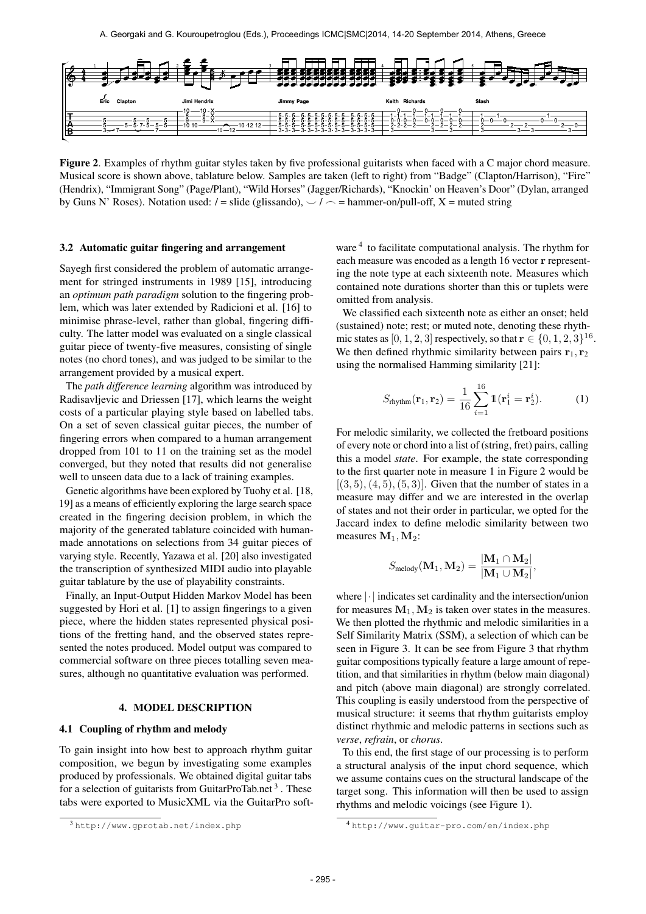

Figure 2. Examples of rhythm guitar styles taken by five professional guitarists when faced with a C major chord measure. Musical score is shown above, tablature below. Samples are taken (left to right) from "Badge" (Clapton/Harrison), "Fire" (Hendrix), "Immigrant Song" (Page/Plant), "Wild Horses" (Jagger/Richards), "Knockin' on Heaven's Door" (Dylan, arranged by Guns N' Roses). Notation used:  $/ =$  slide (glissando),  $\frac{1}{2}$  = hammer-on/pull-off, X = muted string

### 3.2 Automatic guitar fingering and arrangement

Sayegh first considered the problem of automatic arrangement for stringed instruments in 1989 [15], introducing an *optimum path paradigm* solution to the fingering problem, which was later extended by Radicioni et al. [16] to minimise phrase-level, rather than global, fingering difficulty. The latter model was evaluated on a single classical guitar piece of twenty-five measures, consisting of single notes (no chord tones), and was judged to be similar to the arrangement provided by a musical expert.

The *path difference learning* algorithm was introduced by Radisavljevic and Driessen [17], which learns the weight costs of a particular playing style based on labelled tabs. On a set of seven classical guitar pieces, the number of fingering errors when compared to a human arrangement dropped from 101 to 11 on the training set as the model converged, but they noted that results did not generalise well to unseen data due to a lack of training examples.

Genetic algorithms have been explored by Tuohy et al. [18, 19] as a means of efficiently exploring the large search space created in the fingering decision problem, in which the majority of the generated tablature coincided with humanmade annotations on selections from 34 guitar pieces of varying style. Recently, Yazawa et al. [20] also investigated the transcription of synthesized MIDI audio into playable guitar tablature by the use of playability constraints.

Finally, an Input-Output Hidden Markov Model has been suggested by Hori et al. [1] to assign fingerings to a given piece, where the hidden states represented physical positions of the fretting hand, and the observed states represented the notes produced. Model output was compared to commercial software on three pieces totalling seven measures, although no quantitative evaluation was performed.

# 4. MODEL DESCRIPTION

# 4.1 Coupling of rhythm and melody

To gain insight into how best to approach rhythm guitar composition, we begun by investigating some examples produced by professionals. We obtained digital guitar tabs for a selection of guitarists from GuitarProTab.net<sup>3</sup>. These tabs were exported to MusicXML via the GuitarPro software <sup>4</sup> to facilitate computational analysis. The rhythm for each measure was encoded as a length 16 vector r representing the note type at each sixteenth note. Measures which contained note durations shorter than this or tuplets were omitted from analysis.

We classified each sixteenth note as either an onset; held (sustained) note; rest; or muted note, denoting these rhythmic states as [0, 1, 2, 3] respectively, so that  $\mathbf{r} \in \{0, 1, 2, 3\}^{16}$ . We then defined rhythmic similarity between pairs  $r_1, r_2$ using the normalised Hamming similarity [21]:

$$
S_{\text{rhythm}}(\mathbf{r}_1, \mathbf{r}_2) = \frac{1}{16} \sum_{i=1}^{16} \mathbb{1}(\mathbf{r}_1^i = \mathbf{r}_2^i).
$$
 (1)

For melodic similarity, we collected the fretboard positions of every note or chord into a list of (string, fret) pairs, calling this a model *state*. For example, the state corresponding to the first quarter note in measure 1 in Figure 2 would be  $[(3, 5), (4, 5), (5, 3)]$ . Given that the number of states in a measure may differ and we are interested in the overlap of states and not their order in particular, we opted for the Jaccard index to define melodic similarity between two measures  $M_1, M_2$ :

$$
S_\text{melody}(\mathbf{M}_1, \mathbf{M}_2) = \frac{|\mathbf{M}_1 \cap \mathbf{M}_2|}{|\mathbf{M}_1 \cup \mathbf{M}_2|},
$$

where |·| indicates set cardinality and the intersection/union for measures  $M_1, M_2$  is taken over states in the measures. We then plotted the rhythmic and melodic similarities in a Self Similarity Matrix (SSM), a selection of which can be seen in Figure 3. It can be see from Figure 3 that rhythm guitar compositions typically feature a large amount of repetition, and that similarities in rhythm (below main diagonal) and pitch (above main diagonal) are strongly correlated. This coupling is easily understood from the perspective of musical structure: it seems that rhythm guitarists employ distinct rhythmic and melodic patterns in sections such as *verse*, *refrain*, or *chorus*.

To this end, the first stage of our processing is to perform a structural analysis of the input chord sequence, which we assume contains cues on the structural landscape of the target song. This information will then be used to assign rhythms and melodic voicings (see Figure 1).

<sup>3</sup> <http://www.gprotab.net/index.php>

<sup>4</sup> <http://www.guitar-pro.com/en/index.php>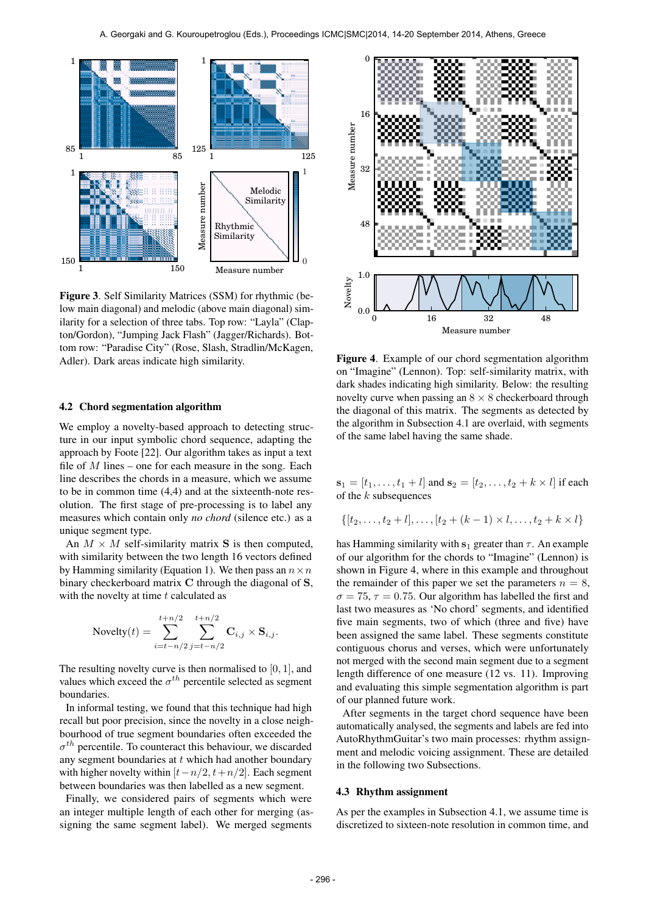

Figure 3. Self Similarity Matrices (SSM) for rhythmic (below main diagonal) and melodic (above main diagonal) similarity for a selection of three tabs. Top row: "Layla" (Clapton/Gordon), "Jumping Jack Flash" (Jagger/Richards). Bottom row: "Paradise City" (Rose, Slash, Stradlin/McKagen, Adler). Dark areas indicate high similarity.

#### 4.2 Chord segmentation algorithm

We employ a novelty-based approach to detecting structure in our input symbolic chord sequence, adapting the approach by Foote [22]. Our algorithm takes as input a text file of  $M$  lines – one for each measure in the song. Each line describes the chords in a measure, which we assume to be in common time (4,4) and at the sixteenth-note resolution. The first stage of pre-processing is to label any measures which contain only *no chord* (silence etc.) as a unique segment type.

An  $M \times M$  self-similarity matrix S is then computed, with similarity between the two length 16 vectors defined by Hamming similarity (Equation 1). We then pass an  $n \times n$ binary checkerboard matrix C through the diagonal of S, with the novelty at time  $t$  calculated as

Novelty

\n
$$
(t) = \sum_{i=t-n/2}^{t+n/2} \sum_{j=t-n/2}^{t+n/2} \mathbf{C}_{i,j} \times \mathbf{S}_{i,j}.
$$

The resulting novelty curve is then normalised to  $[0, 1]$ , and values which exceed the  $\sigma^{th}$  percentile selected as segment boundaries.

In informal testing, we found that this technique had high recall but poor precision, since the novelty in a close neighbourhood of true segment boundaries often exceeded the  $\sigma^{th}$  percentile. To counteract this behaviour, we discarded any segment boundaries at  $t$  which had another boundary with higher novelty within  $[t-n/2, t+n/2]$ . Each segment between boundaries was then labelled as a new segment.

Finally, we considered pairs of segments which were an integer multiple length of each other for merging (assigning the same segment label). We merged segments



Figure 4. Example of our chord segmentation algorithm on "Imagine" (Lennon). Top: self-similarity matrix, with dark shades indicating high similarity. Below: the resulting novelty curve when passing an  $8 \times 8$  checkerboard through the diagonal of this matrix. The segments as detected by the algorithm in Subsection 4.1 are overlaid, with segments of the same label having the same shade.

 $s_1 = [t_1, \ldots, t_1 + l]$  and  $s_2 = [t_2, \ldots, t_2 + k \times l]$  if each of the  $k$  subsequences

$$
\{[t_2,\ldots,t_2+l],\ldots,[t_2+(k-1)\times l,\ldots,t_2+k\times l]\}
$$

has Hamming similarity with  $s_1$  greater than  $\tau$ . An example of our algorithm for the chords to "Imagine" (Lennon) is shown in Figure 4, where in this example and throughout the remainder of this paper we set the parameters  $n = 8$ ,  $\sigma = 75$ ,  $\tau = 0.75$ . Our algorithm has labelled the first and last two measures as 'No chord' segments, and identified five main segments, two of which (three and five) have been assigned the same label. These segments constitute contiguous chorus and verses, which were unfortunately not merged with the second main segment due to a segment length difference of one measure (12 vs. 11). Improving and evaluating this simple segmentation algorithm is part of our planned future work.

After segments in the target chord sequence have been automatically analysed, the segments and labels are fed into AutoRhythmGuitar's two main processes: rhythm assignment and melodic voicing assignment. These are detailed in the following two Subsections.

### 4.3 Rhythm assignment

As per the examples in Subsection 4.1, we assume time is discretized to sixteen-note resolution in common time, and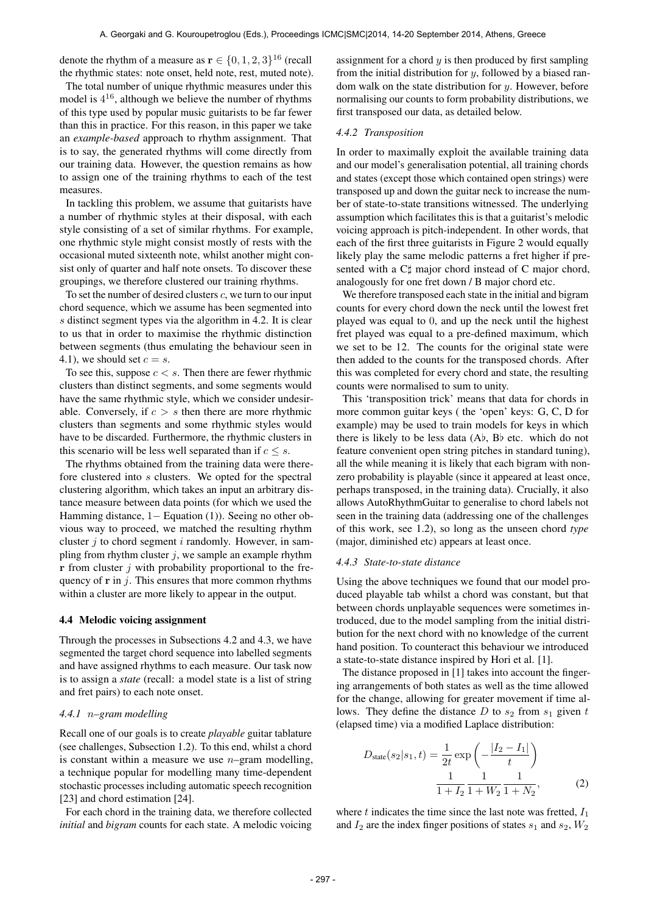denote the rhythm of a measure as  $\mathbf{r} \in \{0, 1, 2, 3\}^{16}$  (recall the rhythmic states: note onset, held note, rest, muted note).

The total number of unique rhythmic measures under this model is  $4^{16}$ , although we believe the number of rhythms of this type used by popular music guitarists to be far fewer than this in practice. For this reason, in this paper we take an *example-based* approach to rhythm assignment. That is to say, the generated rhythms will come directly from our training data. However, the question remains as how to assign one of the training rhythms to each of the test measures.

In tackling this problem, we assume that guitarists have a number of rhythmic styles at their disposal, with each style consisting of a set of similar rhythms. For example, one rhythmic style might consist mostly of rests with the occasional muted sixteenth note, whilst another might consist only of quarter and half note onsets. To discover these groupings, we therefore clustered our training rhythms.

To set the number of desired clusters  $c$ , we turn to our input chord sequence, which we assume has been segmented into s distinct segment types via the algorithm in 4.2. It is clear to us that in order to maximise the rhythmic distinction between segments (thus emulating the behaviour seen in 4.1), we should set  $c = s$ .

To see this, suppose  $c < s$ . Then there are fewer rhythmic clusters than distinct segments, and some segments would have the same rhythmic style, which we consider undesirable. Conversely, if  $c > s$  then there are more rhythmic clusters than segments and some rhythmic styles would have to be discarded. Furthermore, the rhythmic clusters in this scenario will be less well separated than if  $c \leq s$ .

The rhythms obtained from the training data were therefore clustered into s clusters. We opted for the spectral clustering algorithm, which takes an input an arbitrary distance measure between data points (for which we used the Hamming distance, 1− Equation (1)). Seeing no other obvious way to proceed, we matched the resulting rhythm cluster  $i$  to chord segment  $i$  randomly. However, in sampling from rhythm cluster  $j$ , we sample an example rhythm  $r$  from cluster  $j$  with probability proportional to the frequency of  $\bf{r}$  in j. This ensures that more common rhythms within a cluster are more likely to appear in the output.

### 4.4 Melodic voicing assignment

Through the processes in Subsections 4.2 and 4.3, we have segmented the target chord sequence into labelled segments and have assigned rhythms to each measure. Our task now is to assign a *state* (recall: a model state is a list of string and fret pairs) to each note onset.

# *4.4.1* n*–gram modelling*

Recall one of our goals is to create *playable* guitar tablature (see challenges, Subsection 1.2). To this end, whilst a chord is constant within a measure we use  $n$ -gram modelling, a technique popular for modelling many time-dependent stochastic processes including automatic speech recognition [23] and chord estimation [24].

For each chord in the training data, we therefore collected *initial* and *bigram* counts for each state. A melodic voicing assignment for a chord  $y$  is then produced by first sampling from the initial distribution for  $y$ , followed by a biased random walk on the state distribution for  $y$ . However, before normalising our counts to form probability distributions, we first transposed our data, as detailed below.

#### *4.4.2 Transposition*

In order to maximally exploit the available training data and our model's generalisation potential, all training chords and states (except those which contained open strings) were transposed up and down the guitar neck to increase the number of state-to-state transitions witnessed. The underlying assumption which facilitates this is that a guitarist's melodic voicing approach is pitch-independent. In other words, that each of the first three guitarists in Figure 2 would equally likely play the same melodic patterns a fret higher if presented with a C $\sharp$  major chord instead of C major chord, analogously for one fret down / B major chord etc.

We therefore transposed each state in the initial and bigram counts for every chord down the neck until the lowest fret played was equal to 0, and up the neck until the highest fret played was equal to a pre-defined maximum, which we set to be 12. The counts for the original state were then added to the counts for the transposed chords. After this was completed for every chord and state, the resulting counts were normalised to sum to unity.

This 'transposition trick' means that data for chords in more common guitar keys ( the 'open' keys: G, C, D for example) may be used to train models for keys in which there is likely to be less data  $(Ab, Bb)$  etc. which do not feature convenient open string pitches in standard tuning), all the while meaning it is likely that each bigram with nonzero probability is playable (since it appeared at least once, perhaps transposed, in the training data). Crucially, it also allows AutoRhythmGuitar to generalise to chord labels not seen in the training data (addressing one of the challenges of this work, see 1.2), so long as the unseen chord *type* (major, diminished etc) appears at least once.

#### *4.4.3 State-to-state distance*

Using the above techniques we found that our model produced playable tab whilst a chord was constant, but that between chords unplayable sequences were sometimes introduced, due to the model sampling from the initial distribution for the next chord with no knowledge of the current hand position. To counteract this behaviour we introduced a state-to-state distance inspired by Hori et al. [1].

The distance proposed in [1] takes into account the fingering arrangements of both states as well as the time allowed for the change, allowing for greater movement if time allows. They define the distance  $D$  to  $s_2$  from  $s_1$  given  $t$ (elapsed time) via a modified Laplace distribution:

$$
D_{\text{state}}(s_2|s_1, t) = \frac{1}{2t} \exp\left(-\frac{|I_2 - I_1|}{t}\right)
$$

$$
\frac{1}{1 + I_2} \frac{1}{1 + W_2} \frac{1}{1 + N_2},\tag{2}
$$

where  $t$  indicates the time since the last note was fretted,  $I_1$ and  $I_2$  are the index finger positions of states  $s_1$  and  $s_2$ ,  $W_2$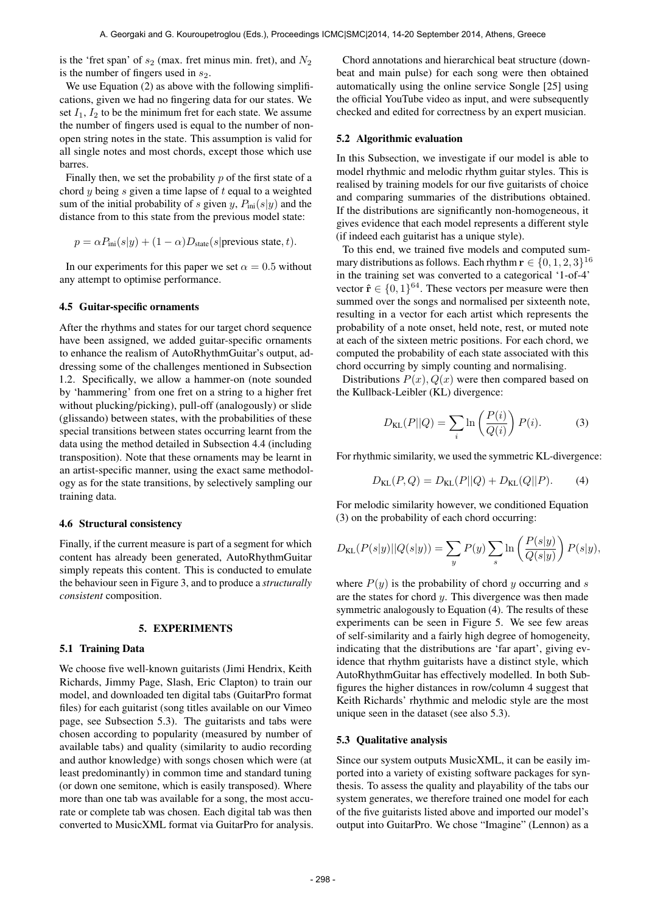is the 'fret span' of  $s_2$  (max. fret minus min. fret), and  $N_2$ is the number of fingers used in  $s_2$ .

We use Equation (2) as above with the following simplifications, given we had no fingering data for our states. We set  $I_1$ ,  $I_2$  to be the minimum fret for each state. We assume the number of fingers used is equal to the number of nonopen string notes in the state. This assumption is valid for all single notes and most chords, except those which use barres.

Finally then, we set the probability  $p$  of the first state of a chord  $y$  being  $s$  given a time lapse of  $t$  equal to a weighted sum of the initial probability of s given y,  $P_{\text{ini}}(s|y)$  and the distance from to this state from the previous model state:

$$
p = \alpha P_{\text{ini}}(s|y) + (1 - \alpha)D_{\text{state}}(s|\text{previous state}, t).
$$

In our experiments for this paper we set  $\alpha = 0.5$  without any attempt to optimise performance.

### 4.5 Guitar-specific ornaments

After the rhythms and states for our target chord sequence have been assigned, we added guitar-specific ornaments to enhance the realism of AutoRhythmGuitar's output, addressing some of the challenges mentioned in Subsection 1.2. Specifically, we allow a hammer-on (note sounded by 'hammering' from one fret on a string to a higher fret without plucking/picking), pull-off (analogously) or slide (glissando) between states, with the probabilities of these special transitions between states occurring learnt from the data using the method detailed in Subsection 4.4 (including transposition). Note that these ornaments may be learnt in an artist-specific manner, using the exact same methodology as for the state transitions, by selectively sampling our training data.

### 4.6 Structural consistency

Finally, if the current measure is part of a segment for which content has already been generated, AutoRhythmGuitar simply repeats this content. This is conducted to emulate the behaviour seen in Figure 3, and to produce a *structurally consistent* composition.

# 5. EXPERIMENTS

# 5.1 Training Data

We choose five well-known guitarists (Jimi Hendrix, Keith Richards, Jimmy Page, Slash, Eric Clapton) to train our model, and downloaded ten digital tabs (GuitarPro format files) for each guitarist (song titles available on our Vimeo page, see Subsection 5.3). The guitarists and tabs were chosen according to popularity (measured by number of available tabs) and quality (similarity to audio recording and author knowledge) with songs chosen which were (at least predominantly) in common time and standard tuning (or down one semitone, which is easily transposed). Where more than one tab was available for a song, the most accurate or complete tab was chosen. Each digital tab was then converted to MusicXML format via GuitarPro for analysis.

Chord annotations and hierarchical beat structure (downbeat and main pulse) for each song were then obtained automatically using the online service Songle [25] using the official YouTube video as input, and were subsequently checked and edited for correctness by an expert musician.

# 5.2 Algorithmic evaluation

In this Subsection, we investigate if our model is able to model rhythmic and melodic rhythm guitar styles. This is realised by training models for our five guitarists of choice and comparing summaries of the distributions obtained. If the distributions are significantly non-homogeneous, it gives evidence that each model represents a different style (if indeed each guitarist has a unique style).

To this end, we trained five models and computed summary distributions as follows. Each rhythm  $\mathbf{r} \in \{0, 1, 2, 3\}^{16}$ in the training set was converted to a categorical '1-of-4' vector  $\hat{\mathbf{r}} \in \{0, 1\}^{64}$ . These vectors per measure were then summed over the songs and normalised per sixteenth note, resulting in a vector for each artist which represents the probability of a note onset, held note, rest, or muted note at each of the sixteen metric positions. For each chord, we computed the probability of each state associated with this chord occurring by simply counting and normalising.

Distributions  $P(x)$ ,  $Q(x)$  were then compared based on the Kullback-Leibler (KL) divergence:

$$
D_{\text{KL}}(P||Q) = \sum_{i} \ln\left(\frac{P(i)}{Q(i)}\right) P(i). \tag{3}
$$

For rhythmic similarity, we used the symmetric KL-divergence:

$$
D_{\text{KL}}(P,Q) = D_{\text{KL}}(P||Q) + D_{\text{KL}}(Q||P). \tag{4}
$$

For melodic similarity however, we conditioned Equation (3) on the probability of each chord occurring:

$$
D_{\text{KL}}(P(s|y)||Q(s|y)) = \sum_{y} P(y) \sum_{s} \ln\left(\frac{P(s|y)}{Q(s|y)}\right) P(s|y),
$$

where  $P(y)$  is the probability of chord y occurring and s are the states for chord  $y$ . This divergence was then made symmetric analogously to Equation (4). The results of these experiments can be seen in Figure 5. We see few areas of self-similarity and a fairly high degree of homogeneity, indicating that the distributions are 'far apart', giving evidence that rhythm guitarists have a distinct style, which AutoRhythmGuitar has effectively modelled. In both Subfigures the higher distances in row/column 4 suggest that Keith Richards' rhythmic and melodic style are the most unique seen in the dataset (see also 5.3).

# 5.3 Qualitative analysis

Since our system outputs MusicXML, it can be easily imported into a variety of existing software packages for synthesis. To assess the quality and playability of the tabs our system generates, we therefore trained one model for each of the five guitarists listed above and imported our model's output into GuitarPro. We chose "Imagine" (Lennon) as a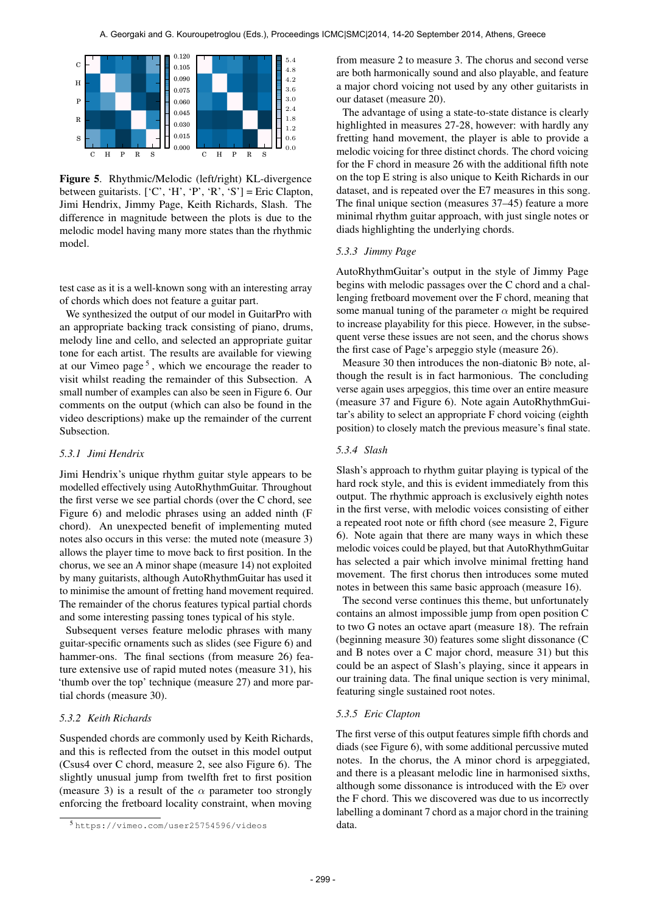

Figure 5. Rhythmic/Melodic (left/right) KL-divergence between guitarists.  $[°C', 'H', 'P', 'R', 'S'] =$  Eric Clapton, Jimi Hendrix, Jimmy Page, Keith Richards, Slash. The difference in magnitude between the plots is due to the melodic model having many more states than the rhythmic model.

test case as it is a well-known song with an interesting array of chords which does not feature a guitar part.

We synthesized the output of our model in GuitarPro with an appropriate backing track consisting of piano, drums, melody line and cello, and selected an appropriate guitar tone for each artist. The results are available for viewing at our Vimeo page<sup>5</sup>, which we encourage the reader to visit whilst reading the remainder of this Subsection. A small number of examples can also be seen in Figure 6. Our comments on the output (which can also be found in the video descriptions) make up the remainder of the current Subsection.

# *5.3.1 Jimi Hendrix*

Jimi Hendrix's unique rhythm guitar style appears to be modelled effectively using AutoRhythmGuitar. Throughout the first verse we see partial chords (over the C chord, see Figure 6) and melodic phrases using an added ninth (F chord). An unexpected benefit of implementing muted notes also occurs in this verse: the muted note (measure 3) allows the player time to move back to first position. In the chorus, we see an A minor shape (measure 14) not exploited by many guitarists, although AutoRhythmGuitar has used it to minimise the amount of fretting hand movement required. The remainder of the chorus features typical partial chords and some interesting passing tones typical of his style.

Subsequent verses feature melodic phrases with many guitar-specific ornaments such as slides (see Figure 6) and hammer-ons. The final sections (from measure 26) feature extensive use of rapid muted notes (measure 31), his 'thumb over the top' technique (measure 27) and more partial chords (measure 30).

# *5.3.2 Keith Richards*

Suspended chords are commonly used by Keith Richards, and this is reflected from the outset in this model output (Csus4 over C chord, measure 2, see also Figure 6). The slightly unusual jump from twelfth fret to first position (measure 3) is a result of the  $\alpha$  parameter too strongly enforcing the fretboard locality constraint, when moving

from measure 2 to measure 3. The chorus and second verse are both harmonically sound and also playable, and feature a major chord voicing not used by any other guitarists in our dataset (measure 20).

The advantage of using a state-to-state distance is clearly highlighted in measures 27-28, however: with hardly any fretting hand movement, the player is able to provide a melodic voicing for three distinct chords. The chord voicing for the F chord in measure 26 with the additional fifth note on the top E string is also unique to Keith Richards in our dataset, and is repeated over the E7 measures in this song. The final unique section (measures 37–45) feature a more minimal rhythm guitar approach, with just single notes or diads highlighting the underlying chords.

#### *5.3.3 Jimmy Page*

AutoRhythmGuitar's output in the style of Jimmy Page begins with melodic passages over the C chord and a challenging fretboard movement over the F chord, meaning that some manual tuning of the parameter  $\alpha$  might be required to increase playability for this piece. However, in the subsequent verse these issues are not seen, and the chorus shows the first case of Page's arpeggio style (measure 26).

Measure 30 then introduces the non-diatonic  $B\flat$  note, although the result is in fact harmonious. The concluding verse again uses arpeggios, this time over an entire measure (measure 37 and Figure 6). Note again AutoRhythmGuitar's ability to select an appropriate F chord voicing (eighth position) to closely match the previous measure's final state.

# *5.3.4 Slash*

Slash's approach to rhythm guitar playing is typical of the hard rock style, and this is evident immediately from this output. The rhythmic approach is exclusively eighth notes in the first verse, with melodic voices consisting of either a repeated root note or fifth chord (see measure 2, Figure 6). Note again that there are many ways in which these melodic voices could be played, but that AutoRhythmGuitar has selected a pair which involve minimal fretting hand movement. The first chorus then introduces some muted notes in between this same basic approach (measure 16).

The second verse continues this theme, but unfortunately contains an almost impossible jump from open position C to two G notes an octave apart (measure 18). The refrain (beginning measure 30) features some slight dissonance (C and B notes over a C major chord, measure 31) but this could be an aspect of Slash's playing, since it appears in our training data. The final unique section is very minimal, featuring single sustained root notes.

# *5.3.5 Eric Clapton*

The first verse of this output features simple fifth chords and diads (see Figure 6), with some additional percussive muted notes. In the chorus, the A minor chord is arpeggiated, and there is a pleasant melodic line in harmonised sixths, although some dissonance is introduced with the Eb over the F chord. This we discovered was due to us incorrectly labelling a dominant 7 chord as a major chord in the training data.

<sup>5</sup> <https://vimeo.com/user25754596/videos>